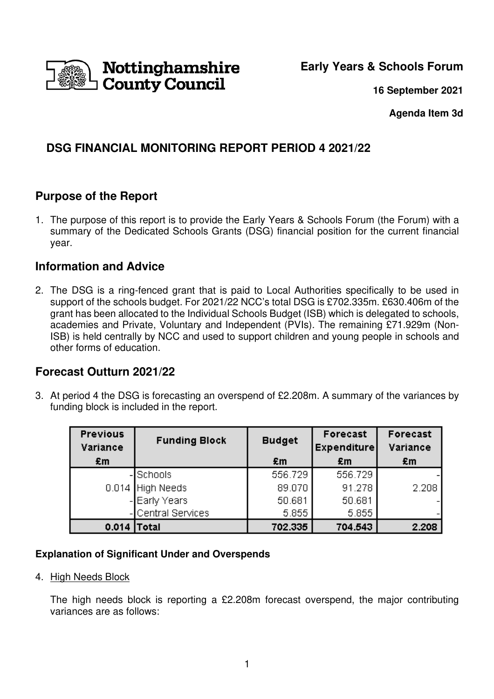

**Early Years & Schools Forum**

**16 September 2021**

**Agenda Item 3d** 

# **DSG FINANCIAL MONITORING REPORT PERIOD 4 2021/22**

### **Purpose of the Report**

1. The purpose of this report is to provide the Early Years & Schools Forum (the Forum) with a summary of the Dedicated Schools Grants (DSG) financial position for the current financial year.

### **Information and Advice**

2. The DSG is a ring-fenced grant that is paid to Local Authorities specifically to be used in support of the schools budget. For 2021/22 NCC's total DSG is £702.335m. £630.406m of the grant has been allocated to the Individual Schools Budget (ISB) which is delegated to schools, academies and Private, Voluntary and Independent (PVIs). The remaining £71.929m (Non-ISB) is held centrally by NCC and used to support children and young people in schools and other forms of education.

## **Forecast Outturn 2021/22**

3. At period 4 the DSG is forecasting an overspend of £2.208m. A summary of the variances by funding block is included in the report.

| <b>Previous</b><br>Variance | <b>Funding Block</b> | <b>Budget</b> | Forecast<br>Expenditure | Forecast<br>Variance |
|-----------------------------|----------------------|---------------|-------------------------|----------------------|
| £m                          |                      | £m            | £m                      | £m                   |
|                             | -Schools             | 556.729       | 556.729                 |                      |
|                             | 0.014 High Needs     | 89.070        | 91.278                  | 2.208                |
|                             | - Early Years        | 50.681        | 50.681                  |                      |
|                             | -Central Services    | 5.855         | 5.855                   |                      |
| 0.014                       | Total                | 702.335       | 704.543                 | 2.208                |

#### **Explanation of Significant Under and Overspends**

4. High Needs Block

The high needs block is reporting a £2.208m forecast overspend, the major contributing variances are as follows: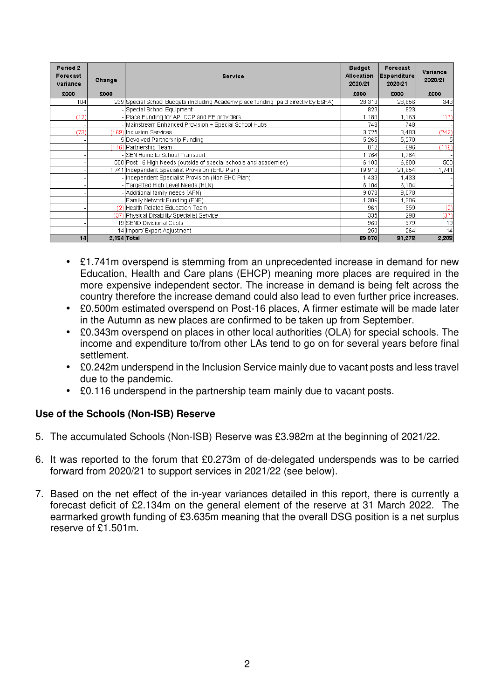| Period 2<br>Forecast<br>variance | Change | <b>Service</b>                                                                     | <b>Budget</b><br>Allocation<br>2020/21 | Forecast<br>Expenditure<br>2020/21 | Variance<br>2020/21 |
|----------------------------------|--------|------------------------------------------------------------------------------------|----------------------------------------|------------------------------------|---------------------|
| £000                             | £000   |                                                                                    | £000                                   | £000                               | £000                |
| 104                              |        | 239 Special School Budgets (Including Academy place funding paid directly by ESFA) | 28,313                                 | 28,656                             | 343                 |
|                                  |        | - Special School Equipment                                                         | 823                                    | 823                                |                     |
| (17)                             |        | - Place Funding for AP, CCP and FE providers                                       | 1,180                                  | .163                               | (17)                |
|                                  |        | -Mainstream Enhanced Provision + Special School Hubs                               | 748                                    | 748                                |                     |
| (73)                             |        | (169) Inclusion Services                                                           | 3,725                                  | 3,483                              | (242)               |
|                                  |        | 5 Devolved Partnership Funding                                                     | 5,265                                  | 5,270                              |                     |
|                                  |        | (116) Partnership Team                                                             | 812                                    | 696                                | (116)               |
|                                  |        | -SEN Home to School Transport                                                      | 1,764                                  | .764                               |                     |
|                                  |        | 500 Post 16 High Needs (outside of special schools and academies)                  | 6,100                                  | 6,600                              | 500                 |
|                                  |        | 1,741 Independent Specialist Provision (EHC Plan)                                  | 19,913                                 | 21,654                             | 1,741               |
|                                  |        | - Independent Specialist Provision (Non EHC Plan)                                  | 1,433                                  | .433                               |                     |
|                                  |        | Targetted High Level Needs (HLN)                                                   | 6,104                                  | 6,104                              |                     |
|                                  |        | - Additional family needs (AFN)                                                    | 9,078                                  | 9,078                              |                     |
|                                  |        | - Family Network Funding (FNF)                                                     | 1,306                                  | ,306                               |                     |
|                                  |        | (2) Health Related Education Team                                                  | 961                                    | 959                                | (2)                 |
|                                  |        | (37) Physical Disability Specialist Service                                        | 335                                    | 298                                | (37)                |
|                                  |        | 19 SEND Divisional Costs                                                           | 960                                    | 979                                | 19                  |
|                                  |        | 14 Import/ Export Adjustment                                                       | 250                                    | 264                                | 14                  |
| 14                               |        | $2,194$ Total                                                                      | 89,070                                 | 91,278                             | 2,208               |

- £1.741m overspend is stemming from an unprecedented increase in demand for new Education, Health and Care plans (EHCP) meaning more places are required in the more expensive independent sector. The increase in demand is being felt across the country therefore the increase demand could also lead to even further price increases.
- £0.500m estimated overspend on Post-16 places, A firmer estimate will be made later in the Autumn as new places are confirmed to be taken up from September.
- £0.343m overspend on places in other local authorities (OLA) for special schools. The income and expenditure to/from other LAs tend to go on for several years before final settlement.
- £0.242m underspend in the Inclusion Service mainly due to vacant posts and less travel due to the pandemic.
- £0.116 underspend in the partnership team mainly due to vacant posts.

#### **Use of the Schools (Non-ISB) Reserve**

- 5. The accumulated Schools (Non-ISB) Reserve was £3.982m at the beginning of 2021/22.
- 6. It was reported to the forum that £0.273m of de-delegated underspends was to be carried forward from 2020/21 to support services in 2021/22 (see below).
- 7. Based on the net effect of the in-year variances detailed in this report, there is currently a forecast deficit of £2.134m on the general element of the reserve at 31 March 2022. The earmarked growth funding of £3.635m meaning that the overall DSG position is a net surplus reserve of £1.501m.